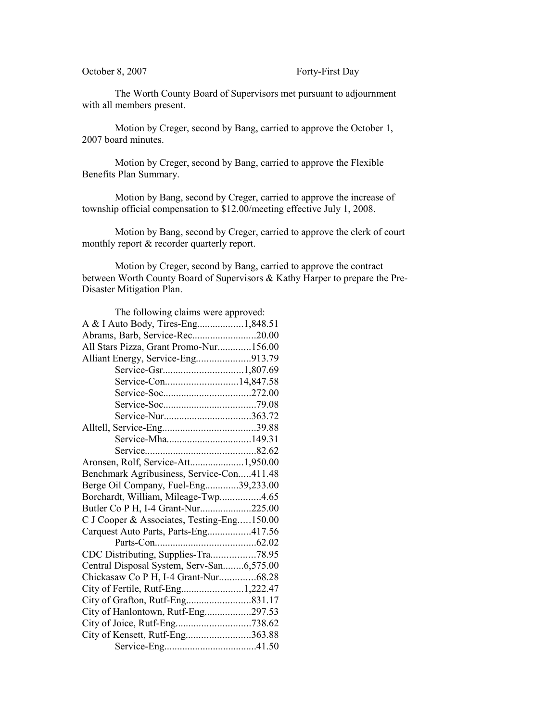October 8, 2007 Forty-First Day

The Worth County Board of Supervisors met pursuant to adjournment with all members present.

Motion by Creger, second by Bang, carried to approve the October 1, 2007 board minutes.

Motion by Creger, second by Bang, carried to approve the Flexible Benefits Plan Summary.

Motion by Bang, second by Creger, carried to approve the increase of township official compensation to \$12.00/meeting effective July 1, 2008.

Motion by Bang, second by Creger, carried to approve the clerk of court monthly report & recorder quarterly report.

Motion by Creger, second by Bang, carried to approve the contract between Worth County Board of Supervisors & Kathy Harper to prepare the Pre-Disaster Mitigation Plan.

| The following claims were approved:        |  |
|--------------------------------------------|--|
| A & I Auto Body, Tires-Eng1,848.51         |  |
| Abrams, Barb, Service-Rec20.00             |  |
| All Stars Pizza, Grant Promo-Nur156.00     |  |
| Alliant Energy, Service-Eng913.79          |  |
|                                            |  |
|                                            |  |
|                                            |  |
|                                            |  |
|                                            |  |
|                                            |  |
|                                            |  |
|                                            |  |
| Aronsen, Rolf, Service-Att1,950.00         |  |
| Benchmark Agribusiness, Service-Con411.48  |  |
| Berge Oil Company, Fuel-Eng39,233.00       |  |
| Borchardt, William, Mileage-Twp4.65        |  |
| Butler Co P H, I-4 Grant-Nur225.00         |  |
| C J Cooper & Associates, Testing-Eng150.00 |  |
| Carquest Auto Parts, Parts-Eng417.56       |  |
|                                            |  |
| CDC Distributing, Supplies-Tra78.95        |  |
| Central Disposal System, Serv-San6,575.00  |  |
| Chickasaw Co P H, I-4 Grant-Nur68.28       |  |
| City of Fertile, Rutf-Eng1,222.47          |  |
|                                            |  |
| City of Hanlontown, Rutf-Eng297.53         |  |
|                                            |  |
| City of Kensett, Rutf-Eng363.88            |  |
|                                            |  |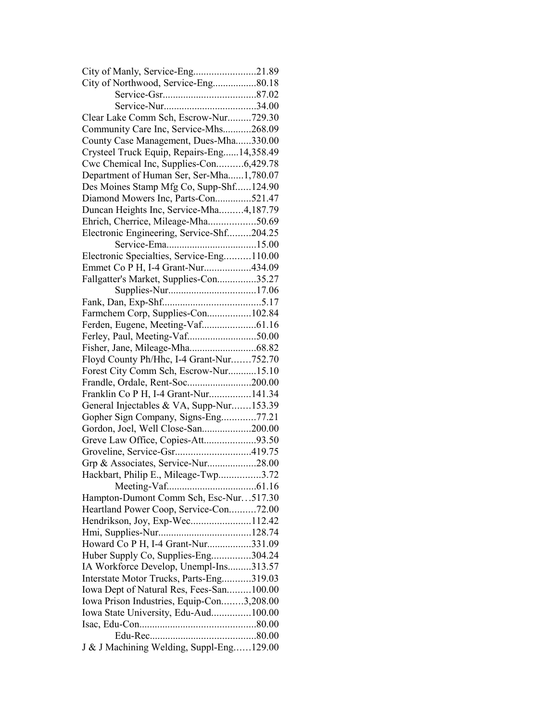| City of Manly, Service-Eng21.89            |  |
|--------------------------------------------|--|
| City of Northwood, Service-Eng80.18        |  |
|                                            |  |
|                                            |  |
| Clear Lake Comm Sch, Escrow-Nur729.30      |  |
| Community Care Inc, Service-Mhs268.09      |  |
| County Case Management, Dues-Mha330.00     |  |
| Crysteel Truck Equip, Repairs-Eng14,358.49 |  |
| Cwc Chemical Inc, Supplies-Con6,429.78     |  |
| Department of Human Ser, Ser-Mha1,780.07   |  |
| Des Moines Stamp Mfg Co, Supp-Shf124.90    |  |
| Diamond Mowers Inc, Parts-Con521.47        |  |
| Duncan Heights Inc, Service-Mha4,187.79    |  |
| Ehrich, Cherrice, Mileage-Mha50.69         |  |
| Electronic Engineering, Service-Shf204.25  |  |
|                                            |  |
| Electronic Specialties, Service-Eng110.00  |  |
| Emmet Co P H, I-4 Grant-Nur434.09          |  |
| Fallgatter's Market, Supplies-Con35.27     |  |
|                                            |  |
|                                            |  |
| Farmchem Corp, Supplies-Con102.84          |  |
|                                            |  |
|                                            |  |
|                                            |  |
| Floyd County Ph/Hhc, I-4 Grant-Nur752.70   |  |
| Forest City Comm Sch, Escrow-Nur15.10      |  |
| Frandle, Ordale, Rent-Soc200.00            |  |
| Franklin Co P H, I-4 Grant-Nur141.34       |  |
| General Injectables & VA, Supp-Nur153.39   |  |
| Gopher Sign Company, Signs-Eng77.21        |  |
| Gordon, Joel, Well Close-San200.00         |  |
| Greve Law Office, Copies-Att93.50          |  |
|                                            |  |
| Grp & Associates, Service-Nur28.00         |  |
| Hackbart, Philip E., Mileage-Twp3.72       |  |
|                                            |  |
| Hampton-Dumont Comm Sch, Esc-Nur517.30     |  |
| Heartland Power Coop, Service-Con72.00     |  |
| Hendrikson, Joy, Exp-Wec112.42             |  |
|                                            |  |
| Howard Co P H, I-4 Grant-Nur331.09         |  |
| Huber Supply Co, Supplies-Eng304.24        |  |
| IA Workforce Develop, Unempl-Ins313.57     |  |
| Interstate Motor Trucks, Parts-Eng319.03   |  |
| Iowa Dept of Natural Res, Fees-San100.00   |  |
| Iowa Prison Industries, Equip-Con3,208.00  |  |
|                                            |  |
| Iowa State University, Edu-Aud100.00       |  |
|                                            |  |
| J & J Machining Welding, Suppl-Eng129.00   |  |
|                                            |  |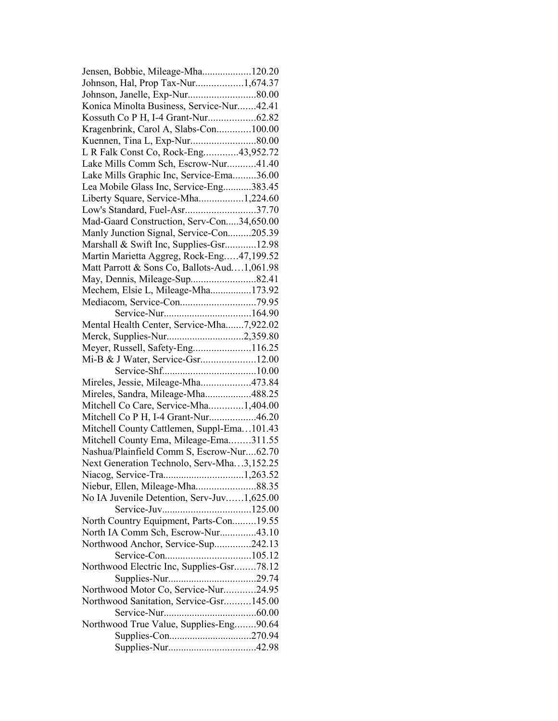| Jensen, Bobbie, Mileage-Mha120.20           |  |
|---------------------------------------------|--|
| Johnson, Hal, Prop Tax-Nur1,674.37          |  |
|                                             |  |
| Konica Minolta Business, Service-Nur42.41   |  |
|                                             |  |
| Kragenbrink, Carol A, Slabs-Con100.00       |  |
| Kuennen, Tina L, Exp-Nur80.00               |  |
| L R Falk Const Co, Rock-Eng43,952.72        |  |
| Lake Mills Comm Sch, Escrow-Nur41.40        |  |
| Lake Mills Graphic Inc, Service-Ema36.00    |  |
| Lea Mobile Glass Inc, Service-Eng383.45     |  |
| Liberty Square, Service-Mha1,224.60         |  |
| Low's Standard, Fuel-Asr37.70               |  |
| Mad-Gaard Construction, Serv-Con34,650.00   |  |
| Manly Junction Signal, Service-Con205.39    |  |
| Marshall & Swift Inc, Supplies-Gsr12.98     |  |
| Martin Marietta Aggreg, Rock-Eng47,199.52   |  |
|                                             |  |
| Matt Parrott & Sons Co, Ballots-Aud1,061.98 |  |
| May, Dennis, Mileage-Sup82.41               |  |
| Mechem, Elsie L, Mileage-Mha173.92          |  |
| Mediacom, Service-Con79.95                  |  |
|                                             |  |
| Mental Health Center, Service-Mha7,922.02   |  |
| Merck, Supplies-Nur2,359.80                 |  |
| Meyer, Russell, Safety-Eng116.25            |  |
| Mi-B & J Water, Service-Gsr12.00            |  |
|                                             |  |
| Mireles, Jessie, Mileage-Mha473.84          |  |
| Mireles, Sandra, Mileage-Mha488.25          |  |
| Mitchell Co Care, Service-Mha1,404.00       |  |
| Mitchell Co P H, I-4 Grant-Nur46.20         |  |
| Mitchell County Cattlemen, Suppl-Ema101.43  |  |
| Mitchell County Ema, Mileage-Ema311.55      |  |
| Nashua/Plainfield Comm S, Escrow-Nur62.70   |  |
| Next Generation Technolo, Serv-Mha3,152.25  |  |
|                                             |  |
| Niebur, Ellen, Mileage-Mha88.35             |  |
| No IA Juvenile Detention, Serv-Juv1,625.00  |  |
|                                             |  |
| North Country Equipment, Parts-Con19.55     |  |
| North IA Comm Sch, Escrow-Nur43.10          |  |
| Northwood Anchor, Service-Sup242.13         |  |
|                                             |  |
| Northwood Electric Inc, Supplies-Gsr78.12   |  |
|                                             |  |
| Northwood Motor Co, Service-Nur24.95        |  |
| Northwood Sanitation, Service-Gsr145.00     |  |
|                                             |  |
|                                             |  |
| Northwood True Value, Supplies-Eng90.64     |  |
|                                             |  |
|                                             |  |